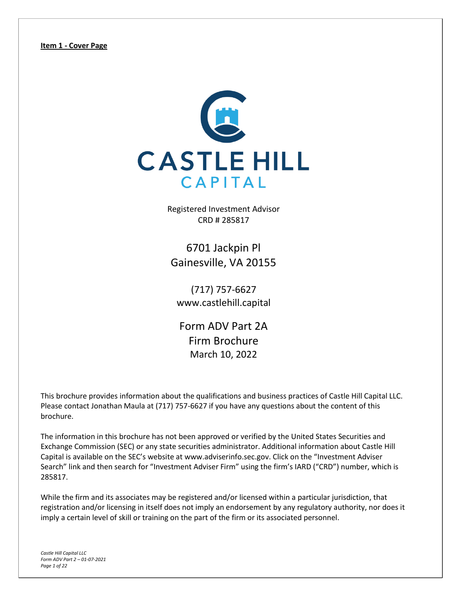<span id="page-0-0"></span>

Registered Investment Advisor CRD # 285817

6701 Jackpin Pl Gainesville, VA 20155

(717) 757-6627 [www.castlehill.capital](http://www.castlehill.capital/)

Form ADV Part 2A Firm Brochure March 10, 2022

This brochure provides information about the qualifications and business practices of Castle Hill Capital LLC. Please contact Jonathan Maula at (717) 757-6627 if you have any questions about the content of this brochure.

The information in this brochure has not been approved or verified by the United States Securities and Exchange Commission (SEC) or any state securities administrator. Additional information about Castle Hill Capital is available on the SEC's website at [www.adviserinfo.sec.gov.](http://www.adviserinfo.sec.gov/) Click on the "Investment Adviser Search" link and then search for "Investment Adviser Firm" using the firm's IARD ("CRD") number, which is 285817.

While the firm and its associates may be registered and/or licensed within a particular jurisdiction, that registration and/or licensing in itself does not imply an endorsement by any regulatory authority, nor does it imply a certain level of skill or training on the part of the firm or its associated personnel.

*Castle Hill Capital LLC Form ADV Part 2 – 01-07-2021 Page 1 of 22*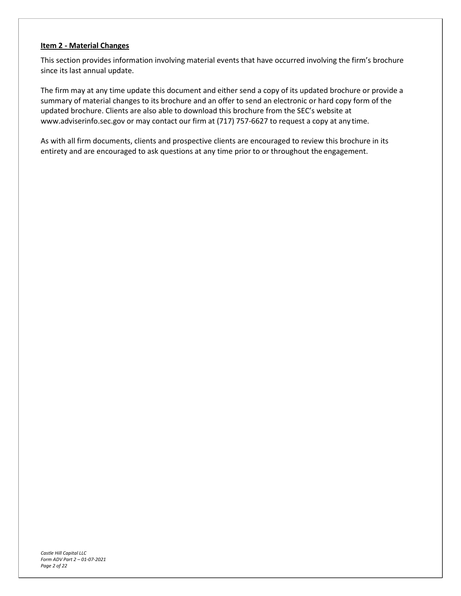# <span id="page-1-0"></span>**Item 2 - Material Changes**

This section provides information involving material events that have occurred involving the firm's brochure since its last annual update.

The firm may at any time update this document and either send a copy of its updated brochure or provide a summary of material changes to its brochure and an offer to send an electronic or hard copy form of the updated brochure. Clients are also able to download this brochure from the SEC's website at [www.adviserinfo.sec.gov](http://www.adviserinfo.sec.gov/) or may contact our firm at (717) 757-6627 to request a copy at any time.

As with all firm documents, clients and prospective clients are encouraged to review this brochure in its entirety and are encouraged to ask questions at any time prior to or throughout the engagement.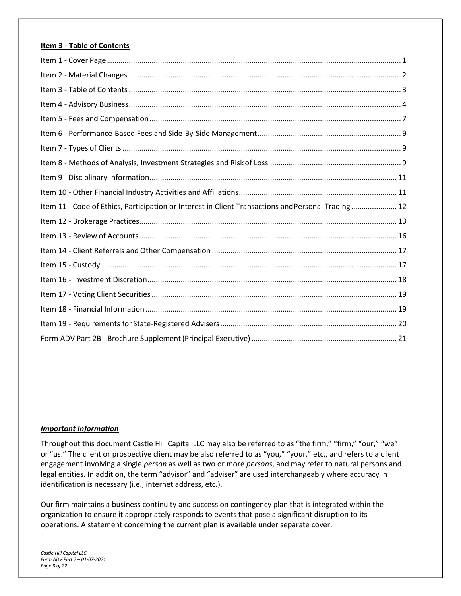# <span id="page-2-0"></span>**Item 3 - Table of Contents**

| Item 11 - Code of Ethics, Participation or Interest in Client Transactions and Personal Trading 12 |  |
|----------------------------------------------------------------------------------------------------|--|
|                                                                                                    |  |
|                                                                                                    |  |
|                                                                                                    |  |
|                                                                                                    |  |
|                                                                                                    |  |
|                                                                                                    |  |
|                                                                                                    |  |
|                                                                                                    |  |
|                                                                                                    |  |

### *Important Information*

Throughout this document Castle Hill Capital LLC may also be referred to as "the firm," "firm," "our," "we" or "us." The client or prospective client may be also referred to as "you," "your," etc., and refers to a client engagement involving a single *person* as well as two or more *persons*, and may refer to natural persons and legal entities. In addition, the term "advisor" and "adviser" are used interchangeably where accuracy in identification is necessary (i.e., internet address, etc.).

Our firm maintains a business continuity and succession contingency plan that is integrated within the organization to ensure it appropriately responds to events that pose a significant disruption to its operations. A statement concerning the current plan is available under separate cover.

*Castle Hill Capital LLC Form ADV Part 2 – 01-07-2021 Page 3 of 22*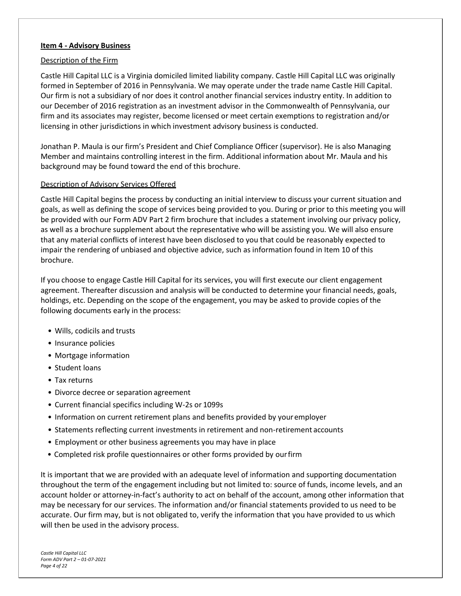#### <span id="page-3-0"></span>**Item 4 - Advisory Business**

#### Description of the Firm

Castle Hill Capital LLC is a Virginia domiciled limited liability company. Castle Hill Capital LLC was originally formed in September of 2016 in Pennsylvania. We may operate under the trade name Castle Hill Capital. Our firm is not a subsidiary of nor does it control another financial services industry entity. In addition to our December of 2016 registration as an investment advisor in the Commonwealth of Pennsylvania, our firm and its associates may register, become licensed or meet certain exemptions to registration and/or licensing in other jurisdictions in which investment advisory business is conducted.

Jonathan P. Maula is our firm's President and Chief Compliance Officer (supervisor). He is also Managing Member and maintains controlling interest in the firm. Additional information about Mr. Maula and his background may be found toward the end of this brochure.

#### Description of Advisory Services Offered

Castle Hill Capital begins the process by conducting an initial interview to discuss your current situation and goals, as well as defining the scope of services being provided to you. During or prior to this meeting you will be provided with our Form ADV Part 2 firm brochure that includes a statement involving our privacy policy, as well as a brochure supplement about the representative who will be assisting you. We will also ensure that any material conflicts of interest have been disclosed to you that could be reasonably expected to impair the rendering of unbiased and objective advice, such as information found in Item 10 of this brochure.

If you choose to engage Castle Hill Capital for its services, you will first execute our client engagement agreement. Thereafter discussion and analysis will be conducted to determine your financial needs, goals, holdings, etc. Depending on the scope of the engagement, you may be asked to provide copies of the following documents early in the process:

- Wills, codicils and trusts
- Insurance policies
- Mortgage information
- Student loans
- Tax returns
- Divorce decree or separation agreement
- Current financial specifics including W-2s or 1099s
- Information on current retirement plans and benefits provided by youremployer
- Statements reflecting current investments in retirement and non-retirement accounts
- Employment or other business agreements you may have in place
- Completed risk profile questionnaires or other forms provided by ourfirm

It is important that we are provided with an adequate level of information and supporting documentation throughout the term of the engagement including but not limited to: source of funds, income levels, and an account holder or attorney-in-fact's authority to act on behalf of the account, among other information that may be necessary for our services. The information and/or financial statements provided to us need to be accurate. Our firm may, but is not obligated to, verify the information that you have provided to us which will then be used in the advisory process.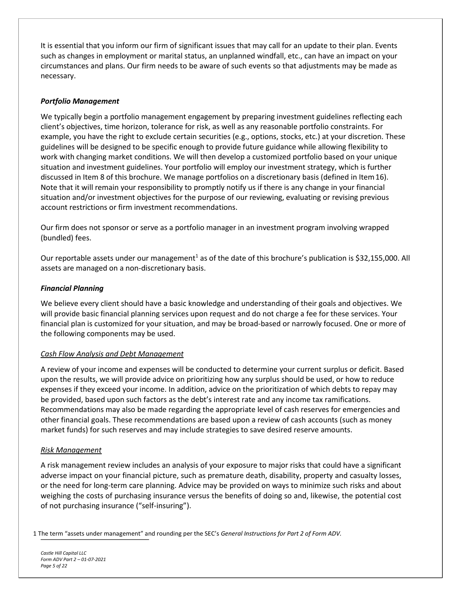It is essential that you inform our firm of significant issues that may call for an update to their plan. Events such as changes in employment or marital status, an unplanned windfall, etc., can have an impact on your circumstances and plans. Our firm needs to be aware of such events so that adjustments may be made as necessary.

# *Portfolio Management*

We typically begin a portfolio management engagement by preparing investment guidelines reflecting each client's objectives, time horizon, tolerance for risk, as well as any reasonable portfolio constraints. For example, you have the right to exclude certain securities (e.g., options, stocks, etc.) at your discretion. These guidelines will be designed to be specific enough to provide future guidance while allowing flexibility to work with changing market conditions. We will then develop a customized portfolio based on your unique situation and investment guidelines. Your portfolio will employ our investment strategy, which is further discussed in Item 8 of this brochure. We manage portfolios on a discretionary basis (defined in Item16). Note that it will remain your responsibility to promptly notify us if there is any change in your financial situation and/or investment objectives for the purpose of our reviewing, evaluating or revising previous account restrictions or firm investment recommendations.

Our firm does not sponsor or serve as a portfolio manager in an investment program involving wrapped (bundled) fees.

Our reportable assets under our management<sup>1</sup> as of the date of this brochure's publication is \$32,155,000. All assets are managed on a non-discretionary basis.

### *Financial Planning*

We believe every client should have a basic knowledge and understanding of their goals and objectives. We will provide basic financial planning services upon request and do not charge a fee for these services. Your financial plan is customized for your situation, and may be broad-based or narrowly focused. One or more of the following components may be used.

### *Cash Flow Analysis and Debt Management*

A review of your income and expenses will be conducted to determine your current surplus or deficit. Based upon the results, we will provide advice on prioritizing how any surplus should be used, or how to reduce expenses if they exceed your income. In addition, advice on the prioritization of which debts to repay may be provided, based upon such factors as the debt's interest rate and any income tax ramifications. Recommendations may also be made regarding the appropriate level of cash reserves for emergencies and other financial goals. These recommendations are based upon a review of cash accounts (such as money market funds) for such reserves and may include strategies to save desired reserve amounts.

### *Risk Management*

A risk management review includes an analysis of your exposure to major risks that could have a significant adverse impact on your financial picture, such as premature death, disability, property and casualty losses, or the need for long-term care planning. Advice may be provided on ways to minimize such risks and about weighing the costs of purchasing insurance versus the benefits of doing so and, likewise, the potential cost of not purchasing insurance ("self-insuring").

1 The term "assets under management" and rounding per the SEC's *General Instructions for Part 2 of Form ADV.*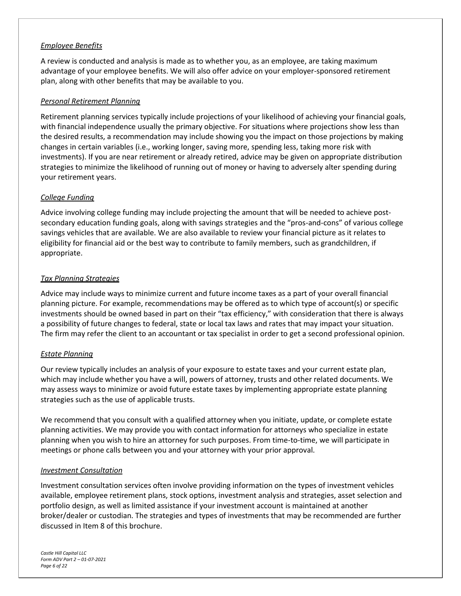# *Employee Benefits*

A review is conducted and analysis is made as to whether you, as an employee, are taking maximum advantage of your employee benefits. We will also offer advice on your employer-sponsored retirement plan, along with other benefits that may be available to you.

# *Personal Retirement Planning*

Retirement planning services typically include projections of your likelihood of achieving your financial goals, with financial independence usually the primary objective. For situations where projections show less than the desired results, a recommendation may include showing you the impact on those projections by making changes in certain variables (i.e., working longer, saving more, spending less, taking more risk with investments). If you are near retirement or already retired, advice may be given on appropriate distribution strategies to minimize the likelihood of running out of money or having to adversely alter spending during your retirement years.

### *College Funding*

Advice involving college funding may include projecting the amount that will be needed to achieve postsecondary education funding goals, along with savings strategies and the "pros-and-cons" of various college savings vehicles that are available. We are also available to review your financial picture as it relates to eligibility for financial aid or the best way to contribute to family members, such as grandchildren, if appropriate.

# *Tax Planning Strategies*

Advice may include ways to minimize current and future income taxes as a part of your overall financial planning picture. For example, recommendations may be offered as to which type of account(s) or specific investments should be owned based in part on their "tax efficiency," with consideration that there is always a possibility of future changes to federal, state or local tax laws and rates that may impact your situation. The firm may refer the client to an accountant or tax specialist in order to get a second professional opinion.

### *Estate Planning*

Our review typically includes an analysis of your exposure to estate taxes and your current estate plan, which may include whether you have a will, powers of attorney, trusts and other related documents. We may assess ways to minimize or avoid future estate taxes by implementing appropriate estate planning strategies such as the use of applicable trusts.

We recommend that you consult with a qualified attorney when you initiate, update, or complete estate planning activities. We may provide you with contact information for attorneys who specialize in estate planning when you wish to hire an attorney for such purposes. From time-to-time, we will participate in meetings or phone calls between you and your attorney with your prior approval.

### *Investment Consultation*

Investment consultation services often involve providing information on the types of investment vehicles available, employee retirement plans, stock options, investment analysis and strategies, asset selection and portfolio design, as well as limited assistance if your investment account is maintained at another broker/dealer or custodian. The strategies and types of investments that may be recommended are further discussed in Item 8 of this brochure.

*Castle Hill Capital LLC Form ADV Part 2 – 01-07-2021 Page 6 of 22*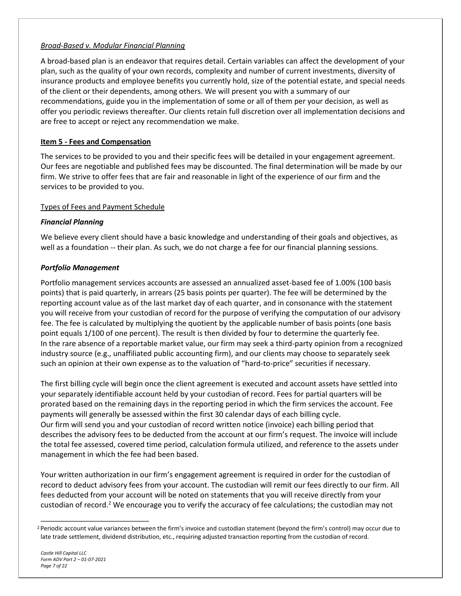# *Broad-Based v. Modular Financial Planning*

A broad-based plan is an endeavor that requires detail. Certain variables can affect the development of your plan, such as the quality of your own records, complexity and number of current investments, diversity of insurance products and employee benefits you currently hold, size of the potential estate, and special needs of the client or their dependents, among others. We will present you with a summary of our recommendations, guide you in the implementation of some or all of them per your decision, as well as offer you periodic reviews thereafter. Our clients retain full discretion over all implementation decisions and are free to accept or reject any recommendation we make.

# <span id="page-6-0"></span>**Item 5 - Fees and Compensation**

The services to be provided to you and their specific fees will be detailed in your engagement agreement. Our fees are negotiable and published fees may be discounted. The final determination will be made by our firm. We strive to offer fees that are fair and reasonable in light of the experience of our firm and the services to be provided to you.

# Types of Fees and Payment Schedule

# *Financial Planning*

We believe every client should have a basic knowledge and understanding of their goals and objectives, as well as a foundation -- their plan. As such, we do not charge a fee for our financial planning sessions.

# *Portfolio Management*

Portfolio management services accounts are assessed an annualized asset-based fee of 1.00% (100 basis points) that is paid quarterly, in arrears (25 basis points per quarter). The fee will be determined by the reporting account value as of the last market day of each quarter, and in consonance with the statement you will receive from your custodian of record for the purpose of verifying the computation of our advisory fee. The fee is calculated by multiplying the quotient by the applicable number of basis points (one basis point equals 1/100 of one percent). The result is then divided by four to determine the quarterly fee. In the rare absence of a reportable market value, our firm may seek a third-party opinion from a recognized industry source (e.g., unaffiliated public accounting firm), and our clients may choose to separately seek such an opinion at their own expense as to the valuation of "hard-to-price" securities if necessary.

The first billing cycle will begin once the client agreement is executed and account assets have settled into your separately identifiable account held by your custodian of record. Fees for partial quarters will be prorated based on the remaining days in the reporting period in which the firm services the account. Fee payments will generally be assessed within the first 30 calendar days of each billing cycle. Our firm will send you and your custodian of record written notice (invoice) each billing period that describes the advisory fees to be deducted from the account at our firm's request. The invoice will include the total fee assessed, covered time period, calculation formula utilized, and reference to the assets under management in which the fee had been based.

Your written authorization in our firm's engagement agreement is required in order for the custodian of record to deduct advisory fees from your account. The custodian will remit our fees directly to our firm. All fees deducted from your account will be noted on statements that you will receive directly from your custodian of record.<sup>2</sup> We encourage you to verify the accuracy of fee calculations; the custodian may not

<sup>&</sup>lt;sup>2</sup> Periodic account value variances between the firm's invoice and custodian statement (beyond the firm's control) may occur due to late trade settlement, dividend distribution, etc., requiring adjusted transaction reporting from the custodian of record.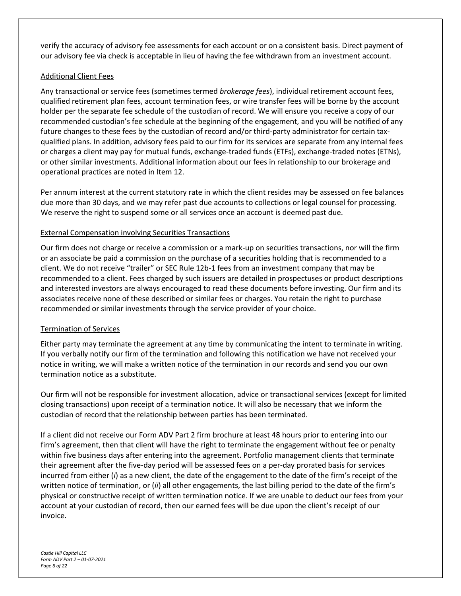verify the accuracy of advisory fee assessments for each account or on a consistent basis. Direct payment of our advisory fee via check is acceptable in lieu of having the fee withdrawn from an investment account.

#### Additional Client Fees

Any transactional or service fees (sometimes termed *brokerage fees*), individual retirement account fees, qualified retirement plan fees, account termination fees, or wire transfer fees will be borne by the account holder per the separate fee schedule of the custodian of record. We will ensure you receive a copy of our recommended custodian's fee schedule at the beginning of the engagement, and you will be notified of any future changes to these fees by the custodian of record and/or third-party administrator for certain taxqualified plans. In addition, advisory fees paid to our firm for its services are separate from any internal fees or charges a client may pay for mutual funds, exchange-traded funds (ETFs), exchange-traded notes (ETNs), or other similar investments. Additional information about our fees in relationship to our brokerage and operational practices are noted in Item 12.

Per annum interest at the current statutory rate in which the client resides may be assessed on fee balances due more than 30 days, and we may refer past due accounts to collections or legal counsel for processing. We reserve the right to suspend some or all services once an account is deemed past due.

### External Compensation involving Securities Transactions

Our firm does not charge or receive a commission or a mark-up on securities transactions, nor will the firm or an associate be paid a commission on the purchase of a securities holding that is recommended to a client. We do not receive "trailer" or SEC Rule 12b-1 fees from an investment company that may be recommended to a client. Fees charged by such issuers are detailed in prospectuses or product descriptions and interested investors are always encouraged to read these documents before investing. Our firm and its associates receive none of these described or similar fees or charges. You retain the right to purchase recommended or similar investments through the service provider of your choice.

### Termination of Services

Either party may terminate the agreement at any time by communicating the intent to terminate in writing. If you verbally notify our firm of the termination and following this notification we have not received your notice in writing, we will make a written notice of the termination in our records and send you our own termination notice as a substitute.

Our firm will not be responsible for investment allocation, advice or transactional services (except for limited closing transactions) upon receipt of a termination notice. It will also be necessary that we inform the custodian of record that the relationship between parties has been terminated.

If a client did not receive our Form ADV Part 2 firm brochure at least 48 hours prior to entering into our firm's agreement, then that client will have the right to terminate the engagement without fee or penalty within five business days after entering into the agreement. Portfolio management clients that terminate their agreement after the five-day period will be assessed fees on a per-day prorated basis for services incurred from either (*i*) as a new client, the date of the engagement to the date of the firm's receipt of the written notice of termination, or (*ii*) all other engagements, the last billing period to the date of the firm's physical or constructive receipt of written termination notice. If we are unable to deduct our fees from your account at your custodian of record, then our earned fees will be due upon the client's receipt of our invoice.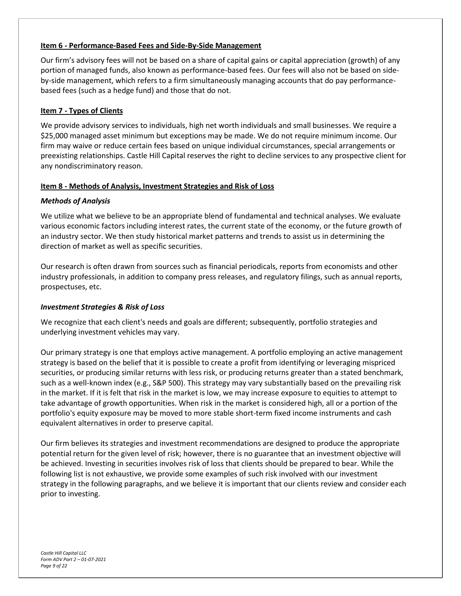# <span id="page-8-0"></span>**Item 6 - Performance-Based Fees and Side-By-Side Management**

Our firm's advisory fees will not be based on a share of capital gains or capital appreciation (growth) of any portion of managed funds, also known as performance-based fees. Our fees will also not be based on sideby-side management, which refers to a firm simultaneously managing accounts that do pay performancebased fees (such as a hedge fund) and those that do not.

# <span id="page-8-1"></span>**Item 7 - Types of Clients**

We provide advisory services to individuals, high net worth individuals and small businesses. We require a \$25,000 managed asset minimum but exceptions may be made. We do not require minimum income. Our firm may waive or reduce certain fees based on unique individual circumstances, special arrangements or preexisting relationships. Castle Hill Capital reserves the right to decline services to any prospective client for any nondiscriminatory reason.

### <span id="page-8-2"></span>**Item 8 - Methods of Analysis, Investment Strategies and Risk of Loss**

# *Methods of Analysis*

We utilize what we believe to be an appropriate blend of fundamental and technical analyses. We evaluate various economic factors including interest rates, the current state of the economy, or the future growth of an industry sector. We then study historical market patterns and trends to assist us in determining the direction of market as well as specific securities.

Our research is often drawn from sources such as financial periodicals, reports from economists and other industry professionals, in addition to company press releases, and regulatory filings, such as annual reports, prospectuses, etc.

### *Investment Strategies & Risk of Loss*

We recognize that each client's needs and goals are different; subsequently, portfolio strategies and underlying investment vehicles may vary.

Our primary strategy is one that employs active management. A portfolio employing an active management strategy is based on the belief that it is possible to create a profit from identifying or leveraging mispriced securities, or producing similar returns with less risk, or producing returns greater than a stated benchmark, such as a well-known index (e.g., S&P 500). This strategy may vary substantially based on the prevailing risk in the market. If it is felt that risk in the market is low, we may increase exposure to equities to attempt to take advantage of growth opportunities. When risk in the market is considered high, all or a portion of the portfolio's equity exposure may be moved to more stable short-term fixed income instruments and cash equivalent alternatives in order to preserve capital.

Our firm believes its strategies and investment recommendations are designed to produce the appropriate potential return for the given level of risk; however, there is no guarantee that an investment objective will be achieved. Investing in securities involves risk of loss that clients should be prepared to bear. While the following list is not exhaustive, we provide some examples of such risk involved with our investment strategy in the following paragraphs, and we believe it is important that our clients review and consider each prior to investing.

*Castle Hill Capital LLC Form ADV Part 2 – 01-07-2021 Page 9 of 22*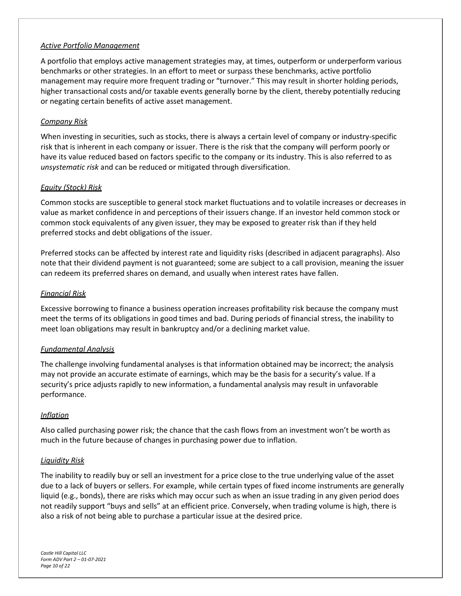#### *Active Portfolio Management*

A portfolio that employs active management strategies may, at times, outperform or underperform various benchmarks or other strategies. In an effort to meet or surpass these benchmarks, active portfolio management may require more frequent trading or "turnover." This may result in shorter holding periods, higher transactional costs and/or taxable events generally borne by the client, thereby potentially reducing or negating certain benefits of active asset management.

#### *Company Risk*

When investing in securities, such as stocks, there is always a certain level of company or industry-specific risk that is inherent in each company or issuer. There is the risk that the company will perform poorly or have its value reduced based on factors specific to the company or its industry. This is also referred to as *unsystematic risk* and can be reduced or mitigated through diversification.

#### *Equity (Stock) Risk*

Common stocks are susceptible to general stock market fluctuations and to volatile increases or decreases in value as market confidence in and perceptions of their issuers change. If an investor held common stock or common stock equivalents of any given issuer, they may be exposed to greater risk than if they held preferred stocks and debt obligations of the issuer.

Preferred stocks can be affected by interest rate and liquidity risks (described in adjacent paragraphs). Also note that their dividend payment is not guaranteed; some are subject to a call provision, meaning the issuer can redeem its preferred shares on demand, and usually when interest rates have fallen.

#### *Financial Risk*

Excessive borrowing to finance a business operation increases profitability risk because the company must meet the terms of its obligations in good times and bad. During periods of financial stress, the inability to meet loan obligations may result in bankruptcy and/or a declining market value.

#### *Fundamental Analysis*

The challenge involving fundamental analyses is that information obtained may be incorrect; the analysis may not provide an accurate estimate of earnings, which may be the basis for a security's value. If a security's price adjusts rapidly to new information, a fundamental analysis may result in unfavorable performance.

#### *Inflation*

Also called purchasing power risk; the chance that the cash flows from an investment won't be worth as much in the future because of changes in purchasing power due to inflation.

#### *Liquidity Risk*

The inability to readily buy or sell an investment for a price close to the true underlying value of the asset due to a lack of buyers or sellers. For example, while certain types of fixed income instruments are generally liquid (e.g., bonds), there are risks which may occur such as when an issue trading in any given period does not readily support "buys and sells" at an efficient price. Conversely, when trading volume is high, there is also a risk of not being able to purchase a particular issue at the desired price.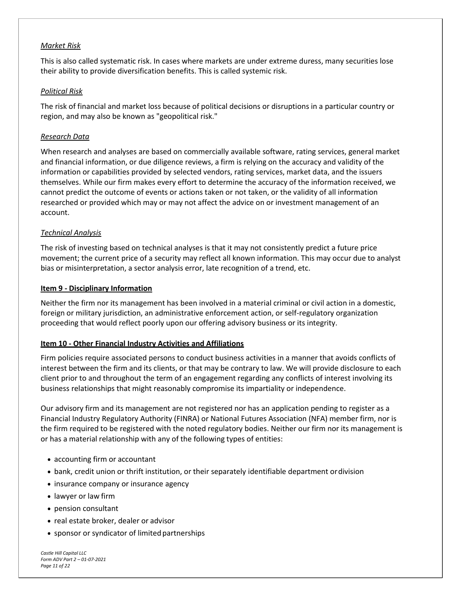### *Market Risk*

This is also called systematic risk. In cases where markets are under extreme duress, many securities lose their ability to provide diversification benefits. This is called systemic risk.

#### *Political Risk*

The risk of financial and market loss because of political decisions or disruptions in a particular country or region, and may also be known as "geopolitical risk."

#### *Research Data*

When research and analyses are based on commercially available software, rating services, general market and financial information, or due diligence reviews, a firm is relying on the accuracy and validity of the information or capabilities provided by selected vendors, rating services, market data, and the issuers themselves. While our firm makes every effort to determine the accuracy of the information received, we cannot predict the outcome of events or actions taken or not taken, or the validity of all information researched or provided which may or may not affect the advice on or investment management of an account.

#### *Technical Analysis*

The risk of investing based on technical analyses is that it may not consistently predict a future price movement; the current price of a security may reflect all known information. This may occur due to analyst bias or misinterpretation, a sector analysis error, late recognition of a trend, etc.

#### <span id="page-10-0"></span>**Item 9 - Disciplinary Information**

Neither the firm nor its management has been involved in a material criminal or civil action in a domestic, foreign or military jurisdiction, an administrative enforcement action, or self-regulatory organization proceeding that would reflect poorly upon our offering advisory business or its integrity.

#### <span id="page-10-1"></span>**Item 10 - Other Financial Industry Activities and Affiliations**

Firm policies require associated persons to conduct business activities in a manner that avoids conflicts of interest between the firm and its clients, or that may be contrary to law. We will provide disclosure to each client prior to and throughout the term of an engagement regarding any conflicts of interest involving its business relationships that might reasonably compromise its impartiality or independence.

Our advisory firm and its management are not registered nor has an application pending to register as a Financial Industry Regulatory Authority (FINRA) or National Futures Association (NFA) member firm, nor is the firm required to be registered with the noted regulatory bodies. Neither our firm nor its management is or has a material relationship with any of the following types of entities:

- accounting firm or accountant
- bank, credit union or thrift institution, or their separately identifiable department ordivision
- insurance company or insurance agency
- lawyer or law firm
- pension consultant
- real estate broker, dealer or advisor
- sponsor or syndicator of limited partnerships

*Castle Hill Capital LLC Form ADV Part 2 – 01-07-2021 Page 11 of 22*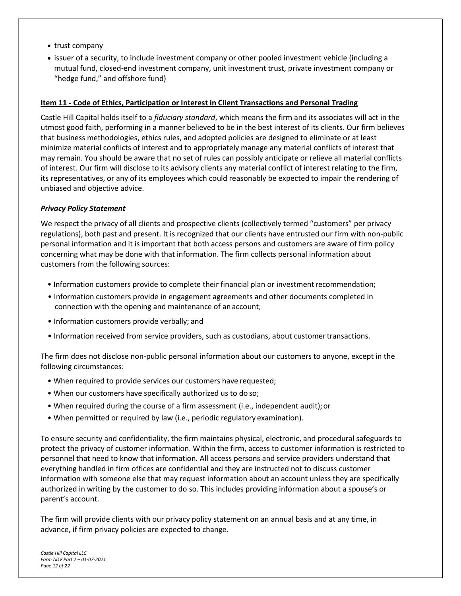- trust company
- issuer of a security, to include investment company or other pooled investment vehicle (including a mutual fund, closed-end investment company, unit investment trust, private investment company or "hedge fund," and offshore fund)

# <span id="page-11-0"></span>**Item 11 - Code of Ethics, Participation or Interest in Client Transactions and Personal Trading**

Castle Hill Capital holds itself to a *fiduciary standard*, which means the firm and its associates will act in the utmost good faith, performing in a manner believed to be in the best interest of its clients. Our firm believes that business methodologies, ethics rules, and adopted policies are designed to eliminate or at least minimize material conflicts of interest and to appropriately manage any material conflicts of interest that may remain. You should be aware that no set of rules can possibly anticipate or relieve all material conflicts of interest. Our firm will disclose to its advisory clients any material conflict of interest relating to the firm, its representatives, or any of its employees which could reasonably be expected to impair the rendering of unbiased and objective advice.

### *Privacy Policy Statement*

We respect the privacy of all clients and prospective clients (collectively termed "customers" per privacy regulations), both past and present. It is recognized that our clients have entrusted our firm with non-public personal information and it is important that both access persons and customers are aware of firm policy concerning what may be done with that information. The firm collects personal information about customers from the following sources:

- Information customers provide to complete their financial plan or investmentrecommendation;
- Information customers provide in engagement agreements and other documents completed in connection with the opening and maintenance of an account;
- Information customers provide verbally; and
- Information received from service providers, such as custodians, about customer transactions.

The firm does not disclose non-public personal information about our customers to anyone, except in the following circumstances:

- When required to provide services our customers have requested;
- When our customers have specifically authorized us to do so;
- When required during the course of a firm assessment (i.e., independent audit);or
- When permitted or required by law (i.e., periodic regulatory examination).

To ensure security and confidentiality, the firm maintains physical, electronic, and procedural safeguards to protect the privacy of customer information. Within the firm, access to customer information is restricted to personnel that need to know that information. All access persons and service providers understand that everything handled in firm offices are confidential and they are instructed not to discuss customer information with someone else that may request information about an account unless they are specifically authorized in writing by the customer to do so. This includes providing information about a spouse's or parent's account.

The firm will provide clients with our privacy policy statement on an annual basis and at any time, in advance, if firm privacy policies are expected to change.

*Castle Hill Capital LLC Form ADV Part 2 – 01-07-2021 Page 12 of 22*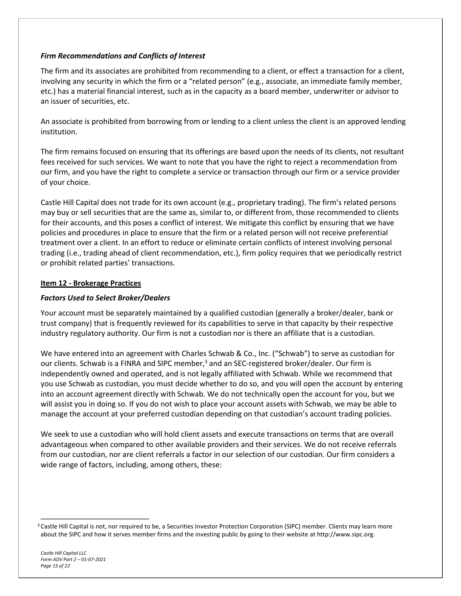# *Firm Recommendations and Conflicts of Interest*

The firm and its associates are prohibited from recommending to a client, or effect a transaction for a client, involving any security in which the firm or a "related person" (e.g., associate, an immediate family member, etc.) has a material financial interest, such as in the capacity as a board member, underwriter or advisor to an issuer of securities, etc.

An associate is prohibited from borrowing from or lending to a client unless the client is an approved lending institution.

The firm remains focused on ensuring that its offerings are based upon the needs of its clients, not resultant fees received for such services. We want to note that you have the right to reject a recommendation from our firm, and you have the right to complete a service or transaction through our firm or a service provider of your choice.

Castle Hill Capital does not trade for its own account (e.g., proprietary trading). The firm's related persons may buy or sell securities that are the same as, similar to, or different from, those recommended to clients for their accounts, and this poses a conflict of interest. We mitigate this conflict by ensuring that we have policies and procedures in place to ensure that the firm or a related person will not receive preferential treatment over a client. In an effort to reduce or eliminate certain conflicts of interest involving personal trading (i.e., trading ahead of client recommendation, etc.), firm policy requires that we periodically restrict or prohibit related parties' transactions.

### <span id="page-12-0"></span>**Item 12 - Brokerage Practices**

# *Factors Used to Select Broker/Dealers*

Your account must be separately maintained by a qualified custodian (generally a broker/dealer, bank or trust company) that is frequently reviewed for its capabilities to serve in that capacity by their respective industry regulatory authority. Our firm is not a custodian nor is there an affiliate that is a custodian.

We have entered into an agreement with Charles Schwab & Co., Inc. ("Schwab") to serve as custodian for our clients. Schwab is a FINRA and SIPC member,<sup>3</sup> and an SEC-registered broker/dealer. Our firm is independently owned and operated, and is not legally affiliated with Schwab. While we recommend that you use Schwab as custodian, you must decide whether to do so, and you will open the account by entering into an account agreement directly with Schwab. We do not technically open the account for you, but we will assist you in doing so. If you do not wish to place your account assets with Schwab, we may be able to manage the account at your preferred custodian depending on that custodian's account trading policies.

We seek to use a custodian who will hold client assets and execute transactions on terms that are overall advantageous when compared to other available providers and their services. We do not receive referrals from our custodian, nor are client referrals a factor in our selection of our custodian. Our firm considers a wide range of factors, including, among others, these:

<sup>&</sup>lt;sup>3</sup> Castle Hill Capital is not, nor required to be, a Securities Investor Protection Corporation (SIPC) member. Clients may learn more about the SIPC and how it serves member firms and the investing public by going to their website [at http://www.sipc.org.](http://www.sipc.org/)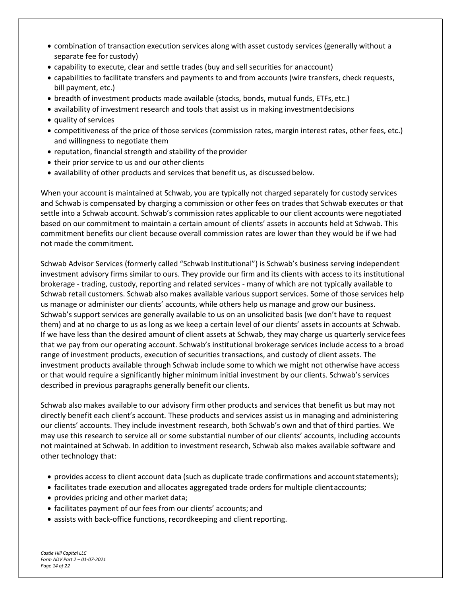- combination of transaction execution services along with asset custody services (generally without a separate fee for custody)
- capability to execute, clear and settle trades (buy and sell securities for anaccount)
- capabilities to facilitate transfers and payments to and from accounts (wire transfers, check requests, bill payment, etc.)
- breadth of investment products made available (stocks, bonds, mutual funds, ETFs, etc.)
- availability of investment research and tools that assist us in making investmentdecisions
- quality of services
- competitiveness of the price of those services (commission rates, margin interest rates, other fees, etc.) and willingness to negotiate them
- reputation, financial strength and stability of the provider
- their prior service to us and our other clients
- availability of other products and services that benefit us, as discussed below.

When your account is maintained at Schwab, you are typically not charged separately for custody services and Schwab is compensated by charging a commission or other fees on trades that Schwab executes or that settle into a Schwab account. Schwab's commission rates applicable to our client accounts were negotiated based on our commitment to maintain a certain amount of clients' assets in accounts held at Schwab. This commitment benefits our client because overall commission rates are lower than they would be if we had not made the commitment.

Schwab Advisor Services (formerly called "Schwab Institutional") is Schwab's business serving independent investment advisory firms similar to ours. They provide our firm and its clients with access to its institutional brokerage - trading, custody, reporting and related services - many of which are not typically available to Schwab retail customers. Schwab also makes available various support services. Some of those services help us manage or administer our clients' accounts, while others help us manage and grow our business. Schwab's support services are generally available to us on an unsolicited basis (we don't have to request them) and at no charge to us as long as we keep a certain level of our clients' assets in accounts at Schwab. If we have less than the desired amount of client assets at Schwab, they may charge us quarterly servicefees that we pay from our operating account. Schwab's institutional brokerage services include access to a broad range of investment products, execution of securities transactions, and custody of client assets. The investment products available through Schwab include some to which we might not otherwise have access or that would require a significantly higher minimum initial investment by our clients. Schwab's services described in previous paragraphs generally benefit our clients.

Schwab also makes available to our advisory firm other products and services that benefit us but may not directly benefit each client's account. These products and services assist us in managing and administering our clients' accounts. They include investment research, both Schwab's own and that of third parties. We may use this research to service all or some substantial number of our clients' accounts, including accounts not maintained at Schwab. In addition to investment research, Schwab also makes available software and other technology that:

- provides access to client account data (such as duplicate trade confirmations and account statements);
- facilitates trade execution and allocates aggregated trade orders for multiple clientaccounts;
- provides pricing and other market data;
- facilitates payment of our fees from our clients' accounts; and
- assists with back-office functions, recordkeeping and client reporting.

*Castle Hill Capital LLC Form ADV Part 2 – 01-07-2021 Page 14 of 22*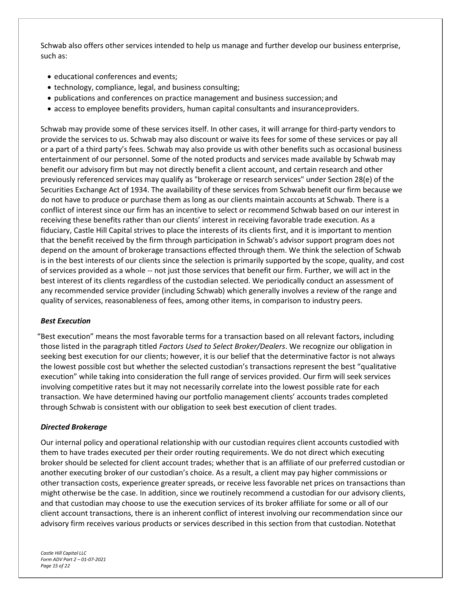Schwab also offers other services intended to help us manage and further develop our business enterprise, such as:

- educational conferences and events;
- technology, compliance, legal, and business consulting;
- publications and conferences on practice management and business succession; and
- access to employee benefits providers, human capital consultants and insuranceproviders.

Schwab may provide some of these services itself. In other cases, it will arrange for third-party vendors to provide the services to us. Schwab may also discount or waive its fees for some of these services or pay all or a part of a third party's fees. Schwab may also provide us with other benefits such as occasional business entertainment of our personnel. Some of the noted products and services made available by Schwab may benefit our advisory firm but may not directly benefit a client account, and certain research and other previously referenced services may qualify as "brokerage or research services" under Section 28(e) of the Securities Exchange Act of 1934. The availability of these services from Schwab benefit our firm because we do not have to produce or purchase them as long as our clients maintain accounts at Schwab. There is a conflict of interest since our firm has an incentive to select or recommend Schwab based on our interest in receiving these benefits rather than our clients' interest in receiving favorable trade execution. As a fiduciary, Castle Hill Capital strives to place the interests of its clients first, and it is important to mention that the benefit received by the firm through participation in Schwab's advisor support program does not depend on the amount of brokerage transactions effected through them. We think the selection of Schwab is in the best interests of our clients since the selection is primarily supported by the scope, quality, and cost of services provided as a whole -- not just those services that benefit our firm. Further, we will act in the best interest of its clients regardless of the custodian selected. We periodically conduct an assessment of any recommended service provider (including Schwab) which generally involves a review of the range and quality of services, reasonableness of fees, among other items, in comparison to industry peers.

#### *Best Execution*

"Best execution" means the most favorable terms for a transaction based on all relevant factors, including those listed in the paragraph titled *Factors Used to Select Broker/Dealers*. We recognize our obligation in seeking best execution for our clients; however, it is our belief that the determinative factor is not always the lowest possible cost but whether the selected custodian's transactions represent the best "qualitative execution" while taking into consideration the full range of services provided. Our firm will seek services involving competitive rates but it may not necessarily correlate into the lowest possible rate for each transaction. We have determined having our portfolio management clients' accounts trades completed through Schwab is consistent with our obligation to seek best execution of client trades.

#### *Directed Brokerage*

Our internal policy and operational relationship with our custodian requires client accounts custodied with them to have trades executed per their order routing requirements. We do not direct which executing broker should be selected for client account trades; whether that is an affiliate of our preferred custodian or another executing broker of our custodian's choice. As a result, a client may pay higher commissions or other transaction costs, experience greater spreads, or receive less favorable net prices on transactions than might otherwise be the case. In addition, since we routinely recommend a custodian for our advisory clients, and that custodian may choose to use the execution services of its broker affiliate for some or all of our client account transactions, there is an inherent conflict of interest involving our recommendation since our advisory firm receives various products or services described in this section from that custodian. Notethat

*Castle Hill Capital LLC Form ADV Part 2 – 01-07-2021 Page 15 of 22*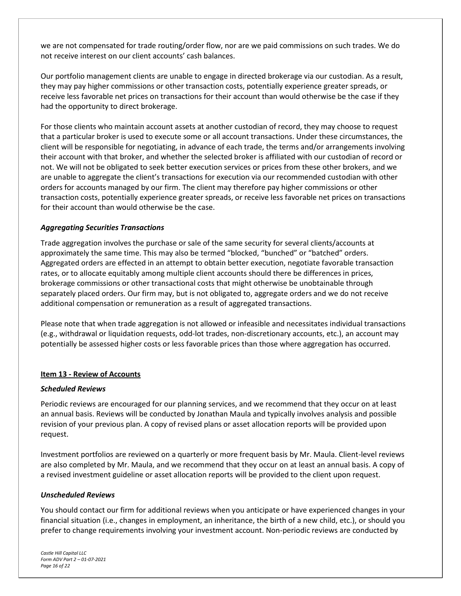we are not compensated for trade routing/order flow, nor are we paid commissions on such trades. We do not receive interest on our client accounts' cash balances.

Our portfolio management clients are unable to engage in directed brokerage via our custodian. As a result, they may pay higher commissions or other transaction costs, potentially experience greater spreads, or receive less favorable net prices on transactions for their account than would otherwise be the case if they had the opportunity to direct brokerage.

For those clients who maintain account assets at another custodian of record, they may choose to request that a particular broker is used to execute some or all account transactions. Under these circumstances, the client will be responsible for negotiating, in advance of each trade, the terms and/or arrangements involving their account with that broker, and whether the selected broker is affiliated with our custodian of record or not. We will not be obligated to seek better execution services or prices from these other brokers, and we are unable to aggregate the client's transactions for execution via our recommended custodian with other orders for accounts managed by our firm. The client may therefore pay higher commissions or other transaction costs, potentially experience greater spreads, or receive less favorable net prices on transactions for their account than would otherwise be the case.

### *Aggregating Securities Transactions*

Trade aggregation involves the purchase or sale of the same security for several clients/accounts at approximately the same time. This may also be termed "blocked, "bunched" or "batched" orders. Aggregated orders are effected in an attempt to obtain better execution, negotiate favorable transaction rates, or to allocate equitably among multiple client accounts should there be differences in prices, brokerage commissions or other transactional costs that might otherwise be unobtainable through separately placed orders. Our firm may, but is not obligated to, aggregate orders and we do not receive additional compensation or remuneration as a result of aggregated transactions.

Please note that when trade aggregation is not allowed or infeasible and necessitates individual transactions (e.g., withdrawal or liquidation requests, odd-lot trades, non-discretionary accounts, etc.), an account may potentially be assessed higher costs or less favorable prices than those where aggregation has occurred.

#### <span id="page-15-0"></span>**Item 13 - Review of Accounts**

#### *Scheduled Reviews*

Periodic reviews are encouraged for our planning services, and we recommend that they occur on at least an annual basis. Reviews will be conducted by Jonathan Maula and typically involves analysis and possible revision of your previous plan. A copy of revised plans or asset allocation reports will be provided upon request.

Investment portfolios are reviewed on a quarterly or more frequent basis by Mr. Maula. Client-level reviews are also completed by Mr. Maula, and we recommend that they occur on at least an annual basis. A copy of a revised investment guideline or asset allocation reports will be provided to the client upon request.

#### *Unscheduled Reviews*

You should contact our firm for additional reviews when you anticipate or have experienced changes in your financial situation (i.e., changes in employment, an inheritance, the birth of a new child, etc.), or should you prefer to change requirements involving your investment account. Non-periodic reviews are conducted by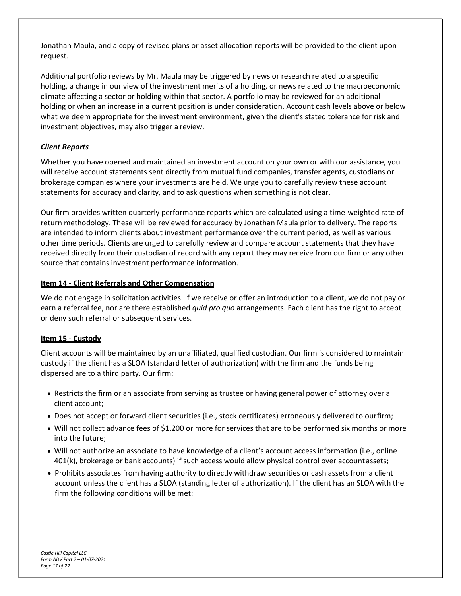Jonathan Maula, and a copy of revised plans or asset allocation reports will be provided to the client upon request.

Additional portfolio reviews by Mr. Maula may be triggered by news or research related to a specific holding, a change in our view of the investment merits of a holding, or news related to the macroeconomic climate affecting a sector or holding within that sector. A portfolio may be reviewed for an additional holding or when an increase in a current position is under consideration. Account cash levels above or below what we deem appropriate for the investment environment, given the client's stated tolerance for risk and investment objectives, may also trigger a review.

# *Client Reports*

Whether you have opened and maintained an investment account on your own or with our assistance, you will receive account statements sent directly from mutual fund companies, transfer agents, custodians or brokerage companies where your investments are held. We urge you to carefully review these account statements for accuracy and clarity, and to ask questions when something is not clear.

Our firm provides written quarterly performance reports which are calculated using a time-weighted rate of return methodology. These will be reviewed for accuracy by Jonathan Maula prior to delivery. The reports are intended to inform clients about investment performance over the current period, as well as various other time periods. Clients are urged to carefully review and compare account statements that they have received directly from their custodian of record with any report they may receive from our firm or any other source that contains investment performance information.

#### <span id="page-16-0"></span>**Item 14 - Client Referrals and Other Compensation**

We do not engage in solicitation activities. If we receive or offer an introduction to a client, we do not pay or earn a referral fee, nor are there established *quid pro quo* arrangements. Each client has the right to accept or deny such referral or subsequent services.

### <span id="page-16-1"></span>**Item 15 - Custody**

Client accounts will be maintained by an unaffiliated, qualified custodian. Our firm is considered to maintain custody if the client has a SLOA (standard letter of authorization) with the firm and the funds being dispersed are to a third party. Our firm:

- Restricts the firm or an associate from serving as trustee or having general power of attorney over a client account;
- Does not accept or forward client securities (i.e., stock certificates) erroneously delivered to ourfirm;
- Will not collect advance fees of \$1,200 or more for services that are to be performed six months or more into the future;
- Will not authorize an associate to have knowledge of a client's account access information (i.e., online 401(k), brokerage or bank accounts) if such access would allow physical control over accountassets;
- Prohibits associates from having authority to directly withdraw securities or cash assets from a client account unless the client has a SLOA (standing letter of authorization). If the client has an SLOA with the firm the following conditions will be met: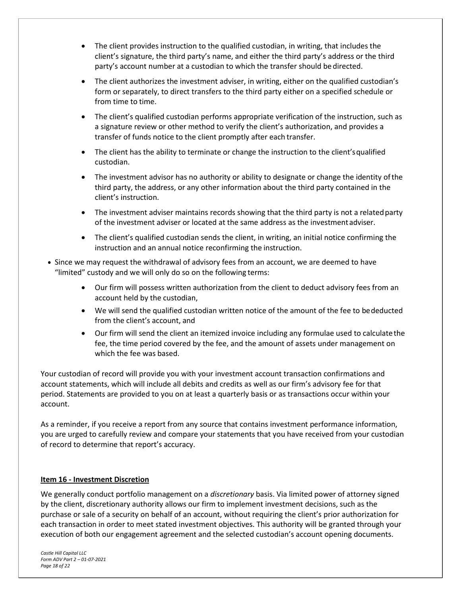- The client provides instruction to the qualified custodian, in writing, that includes the client's signature, the third party's name, and either the third party's address or the third party's account number at a custodian to which the transfer should be directed.
- The client authorizes the investment adviser, in writing, either on the qualified custodian's form or separately, to direct transfers to the third party either on a specified schedule or from time to time.
- The client's qualified custodian performs appropriate verification of the instruction, such as a signature review or other method to verify the client's authorization, and provides a transfer of funds notice to the client promptly after each transfer.
- The client has the ability to terminate or change the instruction to the client's qualified custodian.
- The investment advisor has no authority or ability to designate or change the identity ofthe third party, the address, or any other information about the third party contained in the client's instruction.
- The investment adviser maintains records showing that the third party is not a related party of the investment adviser or located at the same address as the investmentadviser.
- The client's qualified custodian sends the client, in writing, an initial notice confirming the instruction and an annual notice reconfirming the instruction.
- Since we may request the withdrawal of advisory fees from an account, we are deemed to have "limited" custody and we will only do so on the following terms:
	- Our firm will possess written authorization from the client to deduct advisory fees from an account held by the custodian,
	- We will send the qualified custodian written notice of the amount of the fee to bededucted from the client's account, and
	- Our firm will send the client an itemized invoice including any formulae used to calculatethe fee, the time period covered by the fee, and the amount of assets under management on which the fee was based.

Your custodian of record will provide you with your investment account transaction confirmations and account statements, which will include all debits and credits as well as our firm's advisory fee for that period. Statements are provided to you on at least a quarterly basis or as transactions occur within your account.

As a reminder, if you receive a report from any source that contains investment performance information, you are urged to carefully review and compare your statements that you have received from your custodian of record to determine that report's accuracy.

### <span id="page-17-0"></span>**Item 16 - Investment Discretion**

We generally conduct portfolio management on a *discretionary* basis. Via limited power of attorney signed by the client, discretionary authority allows our firm to implement investment decisions, such as the purchase or sale of a security on behalf of an account, without requiring the client's prior authorization for each transaction in order to meet stated investment objectives. This authority will be granted through your execution of both our engagement agreement and the selected custodian's account opening documents.

*Castle Hill Capital LLC Form ADV Part 2 – 01-07-2021 Page 18 of 22*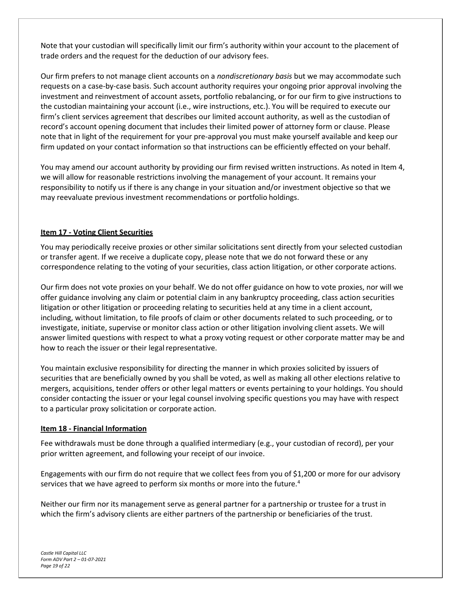Note that your custodian will specifically limit our firm's authority within your account to the placement of trade orders and the request for the deduction of our advisory fees.

Our firm prefers to not manage client accounts on a *nondiscretionary basis* but we may accommodate such requests on a case-by-case basis. Such account authority requires your ongoing prior approval involving the investment and reinvestment of account assets, portfolio rebalancing, or for our firm to give instructions to the custodian maintaining your account (i.e., wire instructions, etc.). You will be required to execute our firm's client services agreement that describes our limited account authority, as well as the custodian of record's account opening document that includes their limited power of attorney form or clause. Please note that in light of the requirement for your pre-approval you must make yourself available and keep our firm updated on your contact information so that instructions can be efficiently effected on your behalf.

You may amend our account authority by providing our firm revised written instructions. As noted in Item 4, we will allow for reasonable restrictions involving the management of your account. It remains your responsibility to notify us if there is any change in your situation and/or investment objective so that we may reevaluate previous investment recommendations or portfolio holdings.

# <span id="page-18-0"></span>**Item 17 - Voting Client Securities**

You may periodically receive proxies or other similar solicitations sent directly from your selected custodian or transfer agent. If we receive a duplicate copy, please note that we do not forward these or any correspondence relating to the voting of your securities, class action litigation, or other corporate actions.

Our firm does not vote proxies on your behalf. We do not offer guidance on how to vote proxies, nor will we offer guidance involving any claim or potential claim in any bankruptcy proceeding, class action securities litigation or other litigation or proceeding relating to securities held at any time in a client account, including, without limitation, to file proofs of claim or other documents related to such proceeding, or to investigate, initiate, supervise or monitor class action or other litigation involving client assets. We will answer limited questions with respect to what a proxy voting request or other corporate matter may be and how to reach the issuer or their legal representative.

You maintain exclusive responsibility for directing the manner in which proxies solicited by issuers of securities that are beneficially owned by you shall be voted, as well as making all other elections relative to mergers, acquisitions, tender offers or other legal matters or events pertaining to your holdings. You should consider contacting the issuer or your legal counsel involving specific questions you may have with respect to a particular proxy solicitation or corporate action.

### <span id="page-18-1"></span>**Item 18 - Financial Information**

Fee withdrawals must be done through a qualified intermediary (e.g., your custodian of record), per your prior written agreement, and following your receipt of our invoice.

Engagements with our firm do not require that we collect fees from you of \$1,200 or more for our advisory services that we have agreed to perform six months or more into the future.<sup>4</sup>

Neither our firm nor its management serve as general partner for a partnership or trustee for a trust in which the firm's advisory clients are either partners of the partnership or beneficiaries of the trust.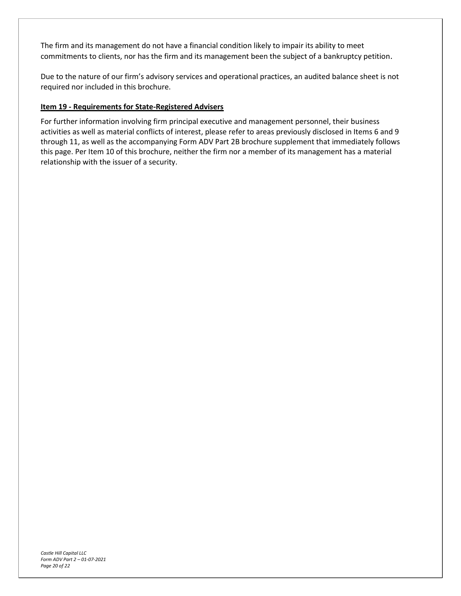The firm and its management do not have a financial condition likely to impair its ability to meet commitments to clients, nor has the firm and its management been the subject of a bankruptcy petition.

Due to the nature of our firm's advisory services and operational practices, an audited balance sheet is not required nor included in this brochure.

# <span id="page-19-0"></span>**Item 19 - Requirements for State-Registered Advisers**

For further information involving firm principal executive and management personnel, their business activities as well as material conflicts of interest, please refer to areas previously disclosed in Items 6 and 9 through 11, as well as the accompanying Form ADV Part 2B brochure supplement that immediately follows this page. Per Item 10 of this brochure, neither the firm nor a member of its management has a material relationship with the issuer of a security.

*Castle Hill Capital LLC Form ADV Part 2 – 01-07-2021 Page 20 of 22*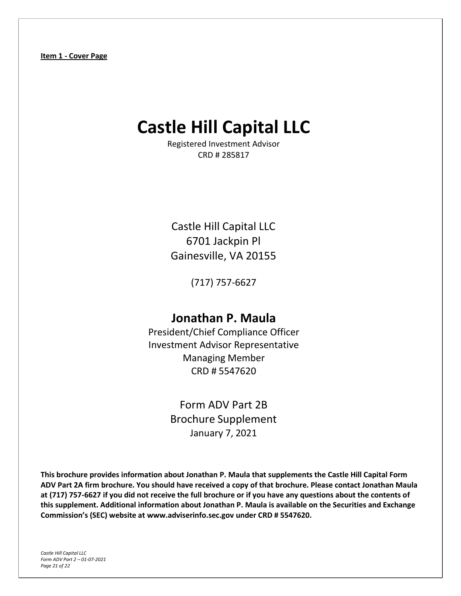# <span id="page-20-0"></span>**Castle Hill Capital LLC**

Registered Investment Advisor CRD # 285817

Castle Hill Capital LLC 6701 Jackpin Pl Gainesville, VA 20155

(717) 757-6627

# **Jonathan P. Maula**

President/Chief Compliance Officer Investment Advisor Representative Managing Member CRD # 5547620

> Form ADV Part 2B Brochure Supplement January 7, 2021

**This brochure provides information about Jonathan P. Maula that supplements the Castle Hill Capital Form ADV Part 2A firm brochure. You should have received a copy of that brochure. Please contact Jonathan Maula at (717) 757-6627 if you did not receive the full brochure or if you have any questions about the contents of this supplement. Additional information about Jonathan P. Maula is available on the Securities and Exchange Commission's (SEC) website at [www.adviserinfo.sec.gov u](http://www.adviserinfo.sec.gov/)nder CRD # 5547620.**

*Castle Hill Capital LLC Form ADV Part 2 – 01-07-2021 Page 21 of 22*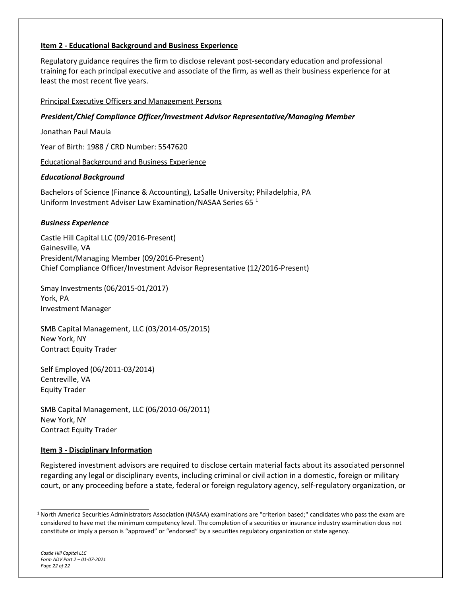# **Item 2 - Educational Background and Business Experience**

Regulatory guidance requires the firm to disclose relevant post-secondary education and professional training for each principal executive and associate of the firm, as well as their business experience for at least the most recent five years.

#### Principal Executive Officers and Management Persons

#### *President/Chief Compliance Officer/Investment Advisor Representative/Managing Member*

Jonathan Paul Maula

Year of Birth: 1988 / CRD Number: 5547620

Educational Background and Business Experience

### *Educational Background*

Bachelors of Science (Finance & Accounting), LaSalle University; Philadelphia, PA Uniform Investment Adviser Law Examination/NASAA Series 65 <sup>1</sup>

#### *Business Experience*

Castle Hill Capital LLC (09/2016-Present) Gainesville, VA President/Managing Member (09/2016-Present) Chief Compliance Officer/Investment Advisor Representative (12/2016-Present)

Smay Investments (06/2015-01/2017) York, PA Investment Manager

SMB Capital Management, LLC (03/2014-05/2015) New York, NY Contract Equity Trader

Self Employed (06/2011-03/2014) Centreville, VA Equity Trader

SMB Capital Management, LLC (06/2010-06/2011) New York, NY Contract Equity Trader

### **Item 3 - Disciplinary Information**

Registered investment advisors are required to disclose certain material facts about its associated personnel regarding any legal or disciplinary events, including criminal or civil action in a domestic, foreign or military court, or any proceeding before a state, federal or foreign regulatory agency, self-regulatory organization, or

*Castle Hill Capital LLC Form ADV Part 2 – 01-07-2021 Page 22 of 22*

<sup>1</sup>North America Securities Administrators Association (NASAA) examinations are "criterion based;" candidates who pass the exam are considered to have met the minimum competency level. The completion of a securities or insurance industry examination does not constitute or imply a person is "approved" or "endorsed" by a securities regulatory organization or state agency.